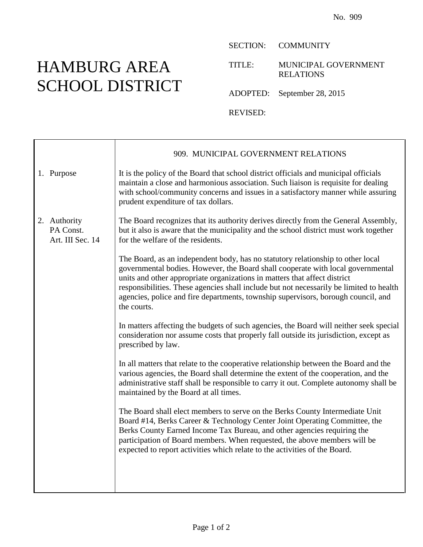## HAMBURG AREA SCHOOL DISTRICT

SECTION: COMMUNITY

TITLE: MUNICIPAL GOVERNMENT RELATIONS

ADOPTED: September 28, 2015

REVISED:

|                                               | 909. MUNICIPAL GOVERNMENT RELATIONS                                                                                                                                                                                                                                                                                                                                                                                                            |
|-----------------------------------------------|------------------------------------------------------------------------------------------------------------------------------------------------------------------------------------------------------------------------------------------------------------------------------------------------------------------------------------------------------------------------------------------------------------------------------------------------|
| 1. Purpose                                    | It is the policy of the Board that school district officials and municipal officials<br>maintain a close and harmonious association. Such liaison is requisite for dealing<br>with school/community concerns and issues in a satisfactory manner while assuring<br>prudent expenditure of tax dollars.                                                                                                                                         |
| 2. Authority<br>PA Const.<br>Art. III Sec. 14 | The Board recognizes that its authority derives directly from the General Assembly,<br>but it also is aware that the municipality and the school district must work together<br>for the welfare of the residents.                                                                                                                                                                                                                              |
|                                               | The Board, as an independent body, has no statutory relationship to other local<br>governmental bodies. However, the Board shall cooperate with local governmental<br>units and other appropriate organizations in matters that affect district<br>responsibilities. These agencies shall include but not necessarily be limited to health<br>agencies, police and fire departments, township supervisors, borough council, and<br>the courts. |
|                                               | In matters affecting the budgets of such agencies, the Board will neither seek special<br>consideration nor assume costs that properly fall outside its jurisdiction, except as<br>prescribed by law.                                                                                                                                                                                                                                          |
|                                               | In all matters that relate to the cooperative relationship between the Board and the<br>various agencies, the Board shall determine the extent of the cooperation, and the<br>administrative staff shall be responsible to carry it out. Complete autonomy shall be<br>maintained by the Board at all times.                                                                                                                                   |
|                                               | The Board shall elect members to serve on the Berks County Intermediate Unit<br>Board #14, Berks Career & Technology Center Joint Operating Committee, the<br>Berks County Earned Income Tax Bureau, and other agencies requiring the<br>participation of Board members. When requested, the above members will be<br>expected to report activities which relate to the activities of the Board.                                               |
|                                               |                                                                                                                                                                                                                                                                                                                                                                                                                                                |